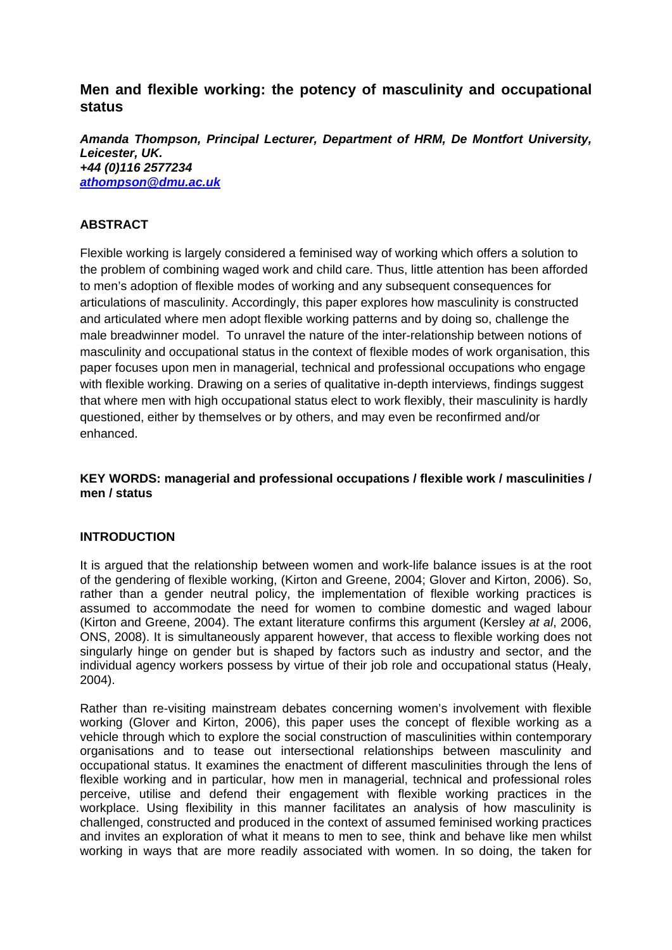# **Men and flexible working: the potency of masculinity and occupational status**

*Amanda Thompson, Principal Lecturer, Department of HRM, De Montfort University, Leicester, UK. +44 (0)116 2577234 athompson@dmu.ac.uk*

## **ABSTRACT**

Flexible working is largely considered a feminised way of working which offers a solution to the problem of combining waged work and child care. Thus, little attention has been afforded to men's adoption of flexible modes of working and any subsequent consequences for articulations of masculinity. Accordingly, this paper explores how masculinity is constructed and articulated where men adopt flexible working patterns and by doing so, challenge the male breadwinner model. To unravel the nature of the inter-relationship between notions of masculinity and occupational status in the context of flexible modes of work organisation, this paper focuses upon men in managerial, technical and professional occupations who engage with flexible working. Drawing on a series of qualitative in-depth interviews, findings suggest that where men with high occupational status elect to work flexibly, their masculinity is hardly questioned, either by themselves or by others, and may even be reconfirmed and/or enhanced.

## **KEY WORDS: managerial and professional occupations / flexible work / masculinities / men / status**

## **INTRODUCTION**

It is argued that the relationship between women and work-life balance issues is at the root of the gendering of flexible working, (Kirton and Greene, 2004; Glover and Kirton, 2006). So, rather than a gender neutral policy, the implementation of flexible working practices is assumed to accommodate the need for women to combine domestic and waged labour (Kirton and Greene, 2004). The extant literature confirms this argument (Kersley *at al*, 2006, ONS, 2008). It is simultaneously apparent however, that access to flexible working does not singularly hinge on gender but is shaped by factors such as industry and sector, and the individual agency workers possess by virtue of their job role and occupational status (Healy, 2004).

Rather than re-visiting mainstream debates concerning women's involvement with flexible working (Glover and Kirton, 2006), this paper uses the concept of flexible working as a vehicle through which to explore the social construction of masculinities within contemporary organisations and to tease out intersectional relationships between masculinity and occupational status. It examines the enactment of different masculinities through the lens of flexible working and in particular, how men in managerial, technical and professional roles perceive, utilise and defend their engagement with flexible working practices in the workplace. Using flexibility in this manner facilitates an analysis of how masculinity is challenged, constructed and produced in the context of assumed feminised working practices and invites an exploration of what it means to men to see, think and behave like men whilst working in ways that are more readily associated with women. In so doing, the taken for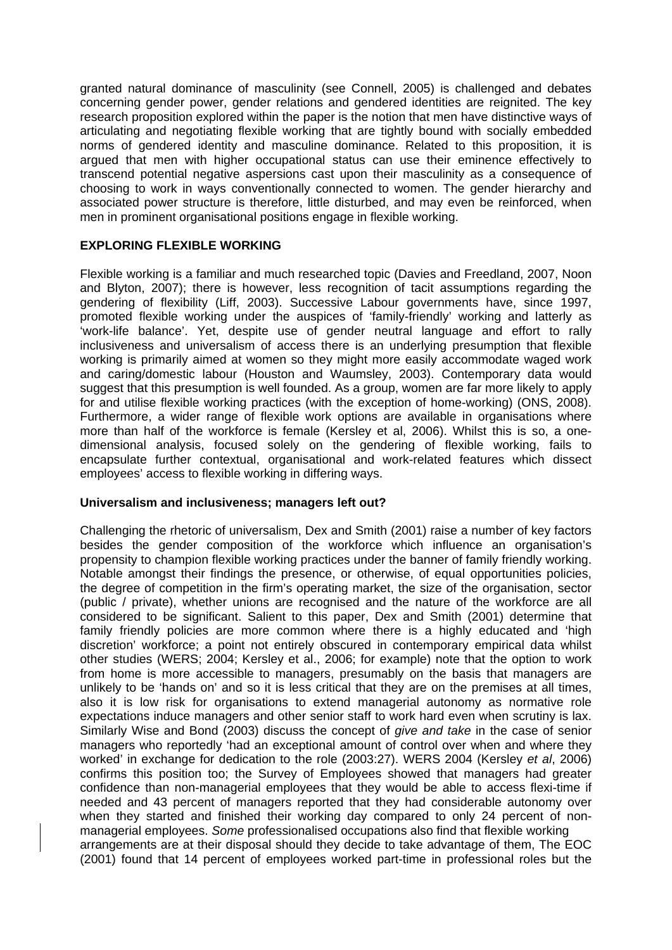granted natural dominance of masculinity (see Connell, 2005) is challenged and debates concerning gender power, gender relations and gendered identities are reignited. The key research proposition explored within the paper is the notion that men have distinctive ways of articulating and negotiating flexible working that are tightly bound with socially embedded norms of gendered identity and masculine dominance. Related to this proposition, it is argued that men with higher occupational status can use their eminence effectively to transcend potential negative aspersions cast upon their masculinity as a consequence of choosing to work in ways conventionally connected to women. The gender hierarchy and associated power structure is therefore, little disturbed, and may even be reinforced, when men in prominent organisational positions engage in flexible working.

## **EXPLORING FLEXIBLE WORKING**

Flexible working is a familiar and much researched topic (Davies and Freedland, 2007, Noon and Blyton, 2007); there is however, less recognition of tacit assumptions regarding the gendering of flexibility (Liff, 2003). Successive Labour governments have, since 1997, promoted flexible working under the auspices of 'family-friendly' working and latterly as 'work-life balance'. Yet, despite use of gender neutral language and effort to rally inclusiveness and universalism of access there is an underlying presumption that flexible working is primarily aimed at women so they might more easily accommodate waged work and caring/domestic labour (Houston and Waumsley, 2003). Contemporary data would suggest that this presumption is well founded. As a group, women are far more likely to apply for and utilise flexible working practices (with the exception of home-working) (ONS, 2008). Furthermore, a wider range of flexible work options are available in organisations where more than half of the workforce is female (Kersley et al, 2006). Whilst this is so, a onedimensional analysis, focused solely on the gendering of flexible working, fails to encapsulate further contextual, organisational and work-related features which dissect employees' access to flexible working in differing ways.

#### **Universalism and inclusiveness; managers left out?**

Challenging the rhetoric of universalism, Dex and Smith (2001) raise a number of key factors besides the gender composition of the workforce which influence an organisation's propensity to champion flexible working practices under the banner of family friendly working. Notable amongst their findings the presence, or otherwise, of equal opportunities policies, the degree of competition in the firm's operating market, the size of the organisation, sector (public / private), whether unions are recognised and the nature of the workforce are all considered to be significant. Salient to this paper, Dex and Smith (2001) determine that family friendly policies are more common where there is a highly educated and 'high discretion' workforce; a point not entirely obscured in contemporary empirical data whilst other studies (WERS; 2004; Kersley et al., 2006; for example) note that the option to work from home is more accessible to managers, presumably on the basis that managers are unlikely to be 'hands on' and so it is less critical that they are on the premises at all times, also it is low risk for organisations to extend managerial autonomy as normative role expectations induce managers and other senior staff to work hard even when scrutiny is lax. Similarly Wise and Bond (2003) discuss the concept of *give and take* in the case of senior managers who reportedly 'had an exceptional amount of control over when and where they worked' in exchange for dedication to the role (2003:27). WERS 2004 (Kersley *et al*, 2006) confirms this position too; the Survey of Employees showed that managers had greater confidence than non-managerial employees that they would be able to access flexi-time if needed and 43 percent of managers reported that they had considerable autonomy over when they started and finished their working day compared to only 24 percent of nonmanagerial employees. *Some* professionalised occupations also find that flexible working arrangements are at their disposal should they decide to take advantage of them, The EOC (2001) found that 14 percent of employees worked part-time in professional roles but the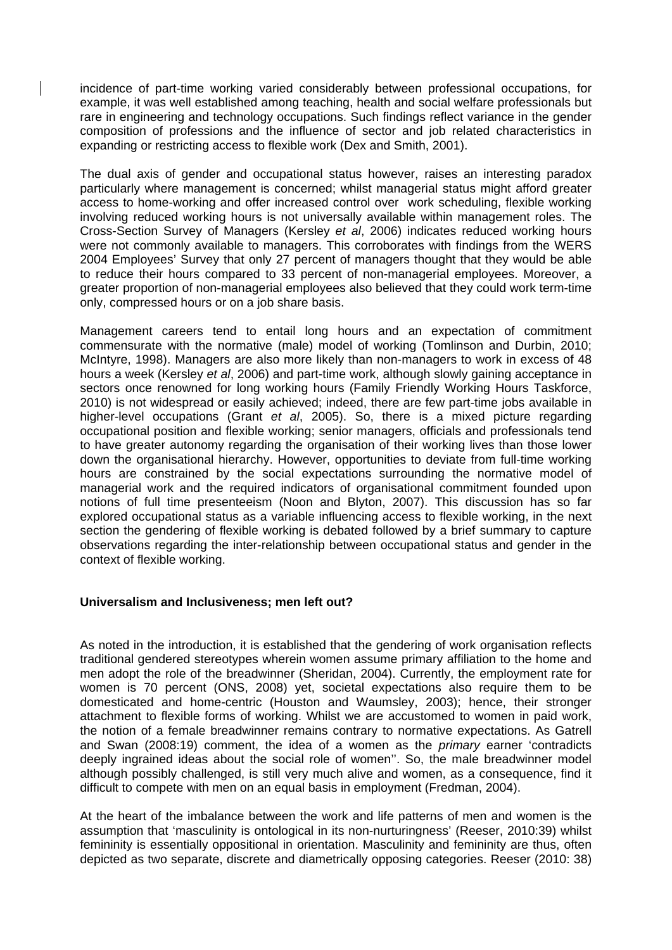incidence of part-time working varied considerably between professional occupations, for example, it was well established among teaching, health and social welfare professionals but rare in engineering and technology occupations. Such findings reflect variance in the gender composition of professions and the influence of sector and job related characteristics in expanding or restricting access to flexible work (Dex and Smith, 2001).

The dual axis of gender and occupational status however, raises an interesting paradox particularly where management is concerned; whilst managerial status might afford greater access to home-working and offer increased control over work scheduling, flexible working involving reduced working hours is not universally available within management roles. The Cross-Section Survey of Managers (Kersley *et al*, 2006) indicates reduced working hours were not commonly available to managers. This corroborates with findings from the WERS 2004 Employees' Survey that only 27 percent of managers thought that they would be able to reduce their hours compared to 33 percent of non-managerial employees. Moreover, a greater proportion of non-managerial employees also believed that they could work term-time only, compressed hours or on a job share basis.

Management careers tend to entail long hours and an expectation of commitment commensurate with the normative (male) model of working (Tomlinson and Durbin, 2010; McIntyre, 1998). Managers are also more likely than non-managers to work in excess of 48 hours a week (Kersley *et al*, 2006) and part-time work, although slowly gaining acceptance in sectors once renowned for long working hours (Family Friendly Working Hours Taskforce, 2010) is not widespread or easily achieved; indeed, there are few part-time jobs available in higher-level occupations (Grant *et al*, 2005). So, there is a mixed picture regarding occupational position and flexible working; senior managers, officials and professionals tend to have greater autonomy regarding the organisation of their working lives than those lower down the organisational hierarchy. However, opportunities to deviate from full-time working hours are constrained by the social expectations surrounding the normative model of managerial work and the required indicators of organisational commitment founded upon notions of full time presenteeism (Noon and Blyton, 2007). This discussion has so far explored occupational status as a variable influencing access to flexible working, in the next section the gendering of flexible working is debated followed by a brief summary to capture observations regarding the inter-relationship between occupational status and gender in the context of flexible working.

#### **Universalism and Inclusiveness; men left out?**

As noted in the introduction, it is established that the gendering of work organisation reflects traditional gendered stereotypes wherein women assume primary affiliation to the home and men adopt the role of the breadwinner (Sheridan, 2004). Currently, the employment rate for women is 70 percent (ONS, 2008) yet, societal expectations also require them to be domesticated and home-centric (Houston and Waumsley, 2003); hence, their stronger attachment to flexible forms of working. Whilst we are accustomed to women in paid work, the notion of a female breadwinner remains contrary to normative expectations. As Gatrell and Swan (2008:19) comment, the idea of a women as the *primary* earner 'contradicts deeply ingrained ideas about the social role of women''. So, the male breadwinner model although possibly challenged, is still very much alive and women, as a consequence, find it difficult to compete with men on an equal basis in employment (Fredman, 2004).

At the heart of the imbalance between the work and life patterns of men and women is the assumption that 'masculinity is ontological in its non-nurturingness' (Reeser, 2010:39) whilst femininity is essentially oppositional in orientation. Masculinity and femininity are thus, often depicted as two separate, discrete and diametrically opposing categories. Reeser (2010: 38)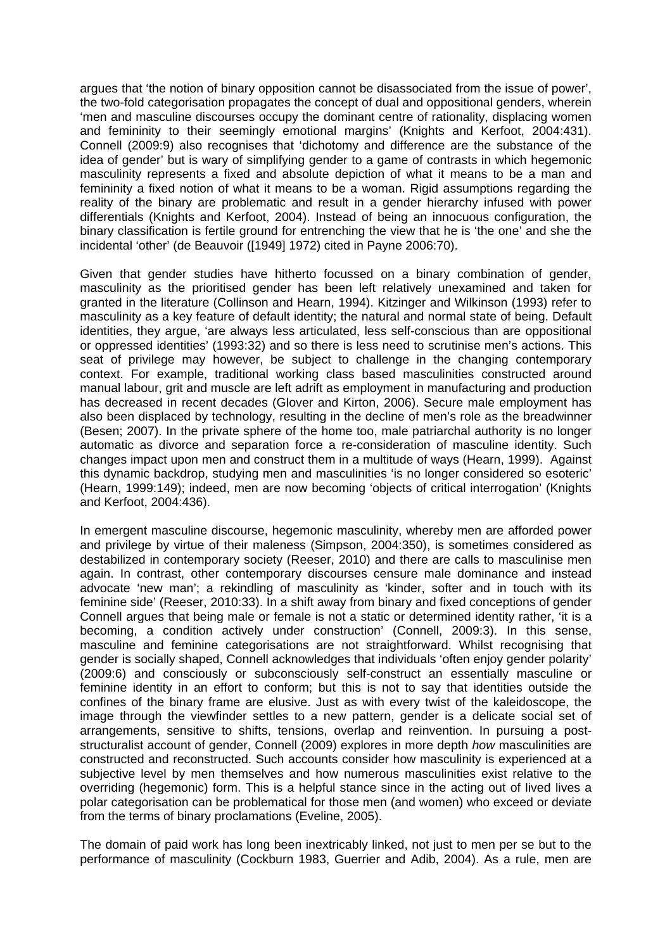argues that 'the notion of binary opposition cannot be disassociated from the issue of power', the two-fold categorisation propagates the concept of dual and oppositional genders, wherein 'men and masculine discourses occupy the dominant centre of rationality, displacing women and femininity to their seemingly emotional margins' (Knights and Kerfoot, 2004:431). Connell (2009:9) also recognises that 'dichotomy and difference are the substance of the idea of gender' but is wary of simplifying gender to a game of contrasts in which hegemonic masculinity represents a fixed and absolute depiction of what it means to be a man and femininity a fixed notion of what it means to be a woman. Rigid assumptions regarding the reality of the binary are problematic and result in a gender hierarchy infused with power differentials (Knights and Kerfoot, 2004). Instead of being an innocuous configuration, the binary classification is fertile ground for entrenching the view that he is 'the one' and she the incidental 'other' (de Beauvoir ([1949] 1972) cited in Payne 2006:70).

Given that gender studies have hitherto focussed on a binary combination of gender, masculinity as the prioritised gender has been left relatively unexamined and taken for granted in the literature (Collinson and Hearn, 1994). Kitzinger and Wilkinson (1993) refer to masculinity as a key feature of default identity; the natural and normal state of being. Default identities, they argue, 'are always less articulated, less self-conscious than are oppositional or oppressed identities' (1993:32) and so there is less need to scrutinise men's actions. This seat of privilege may however, be subject to challenge in the changing contemporary context. For example, traditional working class based masculinities constructed around manual labour, grit and muscle are left adrift as employment in manufacturing and production has decreased in recent decades (Glover and Kirton, 2006). Secure male employment has also been displaced by technology, resulting in the decline of men's role as the breadwinner (Besen; 2007). In the private sphere of the home too, male patriarchal authority is no longer automatic as divorce and separation force a re-consideration of masculine identity. Such changes impact upon men and construct them in a multitude of ways (Hearn, 1999). Against this dynamic backdrop, studying men and masculinities 'is no longer considered so esoteric' (Hearn, 1999:149); indeed, men are now becoming 'objects of critical interrogation' (Knights and Kerfoot, 2004:436).

In emergent masculine discourse, hegemonic masculinity, whereby men are afforded power and privilege by virtue of their maleness (Simpson, 2004:350), is sometimes considered as destabilized in contemporary society (Reeser, 2010) and there are calls to masculinise men again. In contrast, other contemporary discourses censure male dominance and instead advocate 'new man'; a rekindling of masculinity as 'kinder, softer and in touch with its feminine side' (Reeser, 2010:33). In a shift away from binary and fixed conceptions of gender Connell argues that being male or female is not a static or determined identity rather, 'it is a becoming, a condition actively under construction' (Connell, 2009:3). In this sense, masculine and feminine categorisations are not straightforward. Whilst recognising that gender is socially shaped, Connell acknowledges that individuals 'often enjoy gender polarity' (2009:6) and consciously or subconsciously self-construct an essentially masculine or feminine identity in an effort to conform; but this is not to say that identities outside the confines of the binary frame are elusive. Just as with every twist of the kaleidoscope, the image through the viewfinder settles to a new pattern, gender is a delicate social set of arrangements, sensitive to shifts, tensions, overlap and reinvention. In pursuing a poststructuralist account of gender, Connell (2009) explores in more depth *how* masculinities are constructed and reconstructed. Such accounts consider how masculinity is experienced at a subjective level by men themselves and how numerous masculinities exist relative to the overriding (hegemonic) form. This is a helpful stance since in the acting out of lived lives a polar categorisation can be problematical for those men (and women) who exceed or deviate from the terms of binary proclamations (Eveline, 2005).

The domain of paid work has long been inextricably linked, not just to men per se but to the performance of masculinity (Cockburn 1983, Guerrier and Adib, 2004). As a rule, men are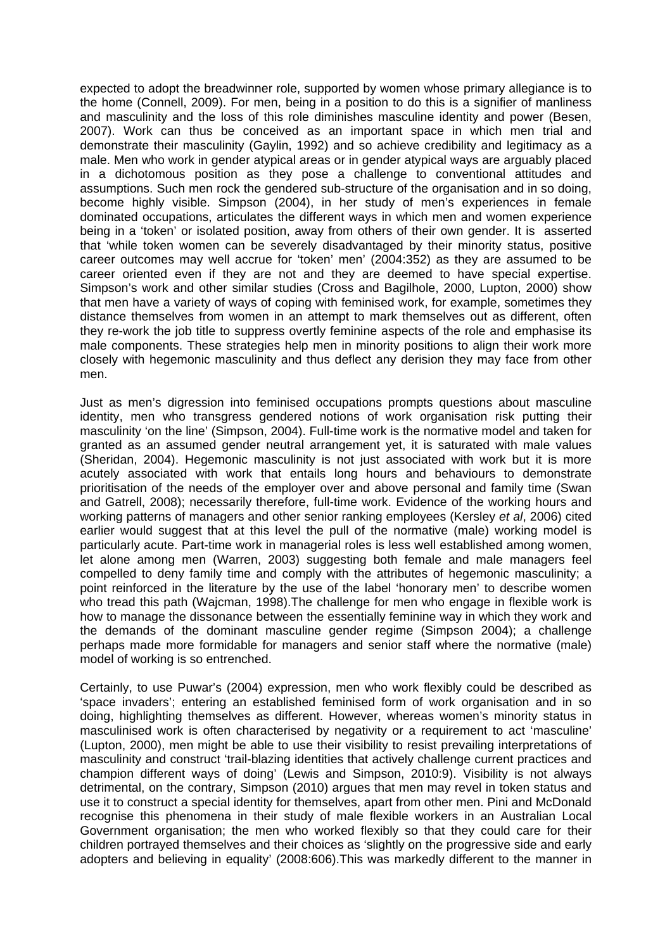expected to adopt the breadwinner role, supported by women whose primary allegiance is to the home (Connell, 2009). For men, being in a position to do this is a signifier of manliness and masculinity and the loss of this role diminishes masculine identity and power (Besen, 2007). Work can thus be conceived as an important space in which men trial and demonstrate their masculinity (Gaylin, 1992) and so achieve credibility and legitimacy as a male. Men who work in gender atypical areas or in gender atypical ways are arguably placed in a dichotomous position as they pose a challenge to conventional attitudes and assumptions. Such men rock the gendered sub-structure of the organisation and in so doing, become highly visible. Simpson (2004), in her study of men's experiences in female dominated occupations, articulates the different ways in which men and women experience being in a 'token' or isolated position, away from others of their own gender. It is asserted that 'while token women can be severely disadvantaged by their minority status, positive career outcomes may well accrue for 'token' men' (2004:352) as they are assumed to be career oriented even if they are not and they are deemed to have special expertise. Simpson's work and other similar studies (Cross and Bagilhole, 2000, Lupton, 2000) show that men have a variety of ways of coping with feminised work, for example, sometimes they distance themselves from women in an attempt to mark themselves out as different, often they re-work the job title to suppress overtly feminine aspects of the role and emphasise its male components. These strategies help men in minority positions to align their work more closely with hegemonic masculinity and thus deflect any derision they may face from other men.

Just as men's digression into feminised occupations prompts questions about masculine identity, men who transgress gendered notions of work organisation risk putting their masculinity 'on the line' (Simpson, 2004). Full-time work is the normative model and taken for granted as an assumed gender neutral arrangement yet, it is saturated with male values (Sheridan, 2004). Hegemonic masculinity is not just associated with work but it is more acutely associated with work that entails long hours and behaviours to demonstrate prioritisation of the needs of the employer over and above personal and family time (Swan and Gatrell, 2008); necessarily therefore, full-time work. Evidence of the working hours and working patterns of managers and other senior ranking employees (Kersley *et al*, 2006) cited earlier would suggest that at this level the pull of the normative (male) working model is particularly acute. Part-time work in managerial roles is less well established among women, let alone among men (Warren, 2003) suggesting both female and male managers feel compelled to deny family time and comply with the attributes of hegemonic masculinity; a point reinforced in the literature by the use of the label 'honorary men' to describe women who tread this path (Wajcman, 1998).The challenge for men who engage in flexible work is how to manage the dissonance between the essentially feminine way in which they work and the demands of the dominant masculine gender regime (Simpson 2004); a challenge perhaps made more formidable for managers and senior staff where the normative (male) model of working is so entrenched.

Certainly, to use Puwar's (2004) expression, men who work flexibly could be described as 'space invaders'; entering an established feminised form of work organisation and in so doing, highlighting themselves as different. However, whereas women's minority status in masculinised work is often characterised by negativity or a requirement to act 'masculine' (Lupton, 2000), men might be able to use their visibility to resist prevailing interpretations of masculinity and construct 'trail-blazing identities that actively challenge current practices and champion different ways of doing' (Lewis and Simpson, 2010:9). Visibility is not always detrimental, on the contrary, Simpson (2010) argues that men may revel in token status and use it to construct a special identity for themselves, apart from other men. Pini and McDonald recognise this phenomena in their study of male flexible workers in an Australian Local Government organisation; the men who worked flexibly so that they could care for their children portrayed themselves and their choices as 'slightly on the progressive side and early adopters and believing in equality' (2008:606).This was markedly different to the manner in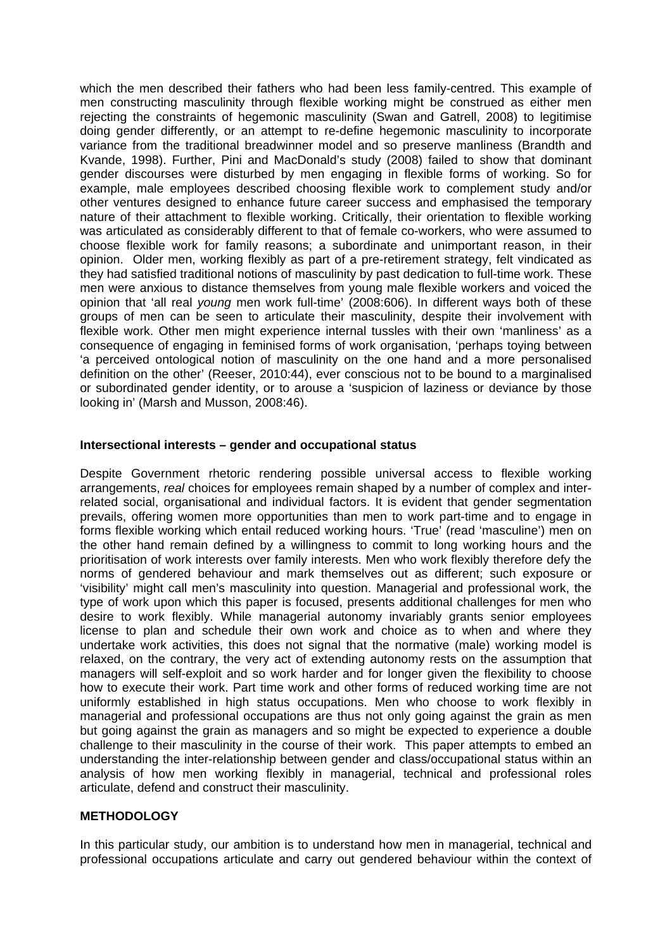which the men described their fathers who had been less family-centred. This example of men constructing masculinity through flexible working might be construed as either men rejecting the constraints of hegemonic masculinity (Swan and Gatrell, 2008) to legitimise doing gender differently, or an attempt to re-define hegemonic masculinity to incorporate variance from the traditional breadwinner model and so preserve manliness (Brandth and Kvande, 1998). Further, Pini and MacDonald's study (2008) failed to show that dominant gender discourses were disturbed by men engaging in flexible forms of working. So for example, male employees described choosing flexible work to complement study and/or other ventures designed to enhance future career success and emphasised the temporary nature of their attachment to flexible working. Critically, their orientation to flexible working was articulated as considerably different to that of female co-workers, who were assumed to choose flexible work for family reasons; a subordinate and unimportant reason, in their opinion. Older men, working flexibly as part of a pre-retirement strategy, felt vindicated as they had satisfied traditional notions of masculinity by past dedication to full-time work. These men were anxious to distance themselves from young male flexible workers and voiced the opinion that 'all real *young* men work full-time' (2008:606). In different ways both of these groups of men can be seen to articulate their masculinity, despite their involvement with flexible work. Other men might experience internal tussles with their own 'manliness' as a consequence of engaging in feminised forms of work organisation, 'perhaps toying between 'a perceived ontological notion of masculinity on the one hand and a more personalised definition on the other' (Reeser, 2010:44), ever conscious not to be bound to a marginalised or subordinated gender identity, or to arouse a 'suspicion of laziness or deviance by those looking in' (Marsh and Musson, 2008:46).

#### **Intersectional interests – gender and occupational status**

Despite Government rhetoric rendering possible universal access to flexible working arrangements, *real* choices for employees remain shaped by a number of complex and interrelated social, organisational and individual factors. It is evident that gender segmentation prevails, offering women more opportunities than men to work part-time and to engage in forms flexible working which entail reduced working hours. 'True' (read 'masculine') men on the other hand remain defined by a willingness to commit to long working hours and the prioritisation of work interests over family interests. Men who work flexibly therefore defy the norms of gendered behaviour and mark themselves out as different; such exposure or 'visibility' might call men's masculinity into question. Managerial and professional work, the type of work upon which this paper is focused, presents additional challenges for men who desire to work flexibly. While managerial autonomy invariably grants senior employees license to plan and schedule their own work and choice as to when and where they undertake work activities, this does not signal that the normative (male) working model is relaxed, on the contrary, the very act of extending autonomy rests on the assumption that managers will self-exploit and so work harder and for longer given the flexibility to choose how to execute their work. Part time work and other forms of reduced working time are not uniformly established in high status occupations. Men who choose to work flexibly in managerial and professional occupations are thus not only going against the grain as men but going against the grain as managers and so might be expected to experience a double challenge to their masculinity in the course of their work. This paper attempts to embed an understanding the inter-relationship between gender and class/occupational status within an analysis of how men working flexibly in managerial, technical and professional roles articulate, defend and construct their masculinity.

#### **METHODOLOGY**

In this particular study, our ambition is to understand how men in managerial, technical and professional occupations articulate and carry out gendered behaviour within the context of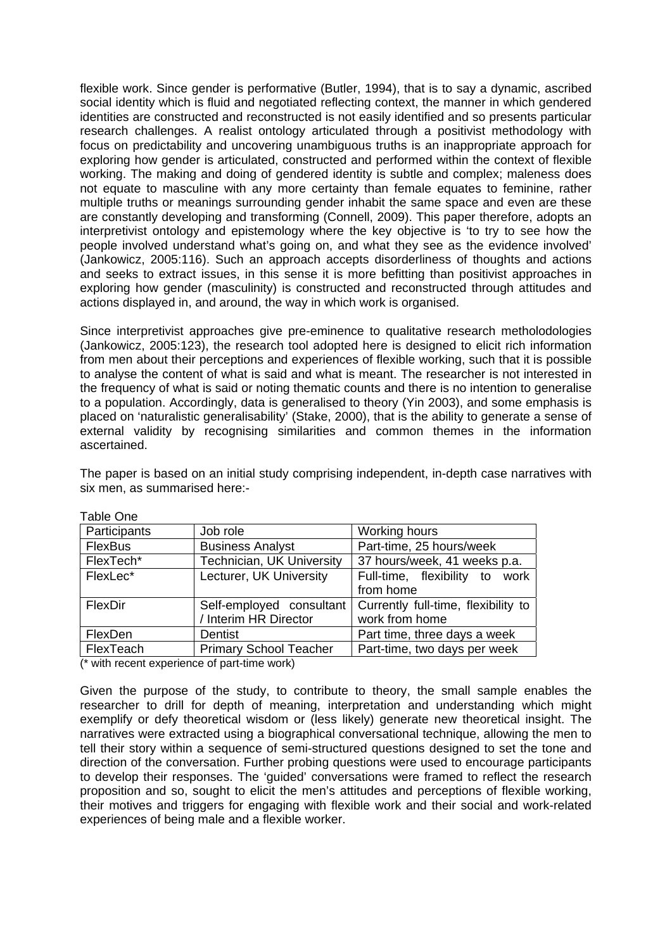flexible work. Since gender is performative (Butler, 1994), that is to say a dynamic, ascribed social identity which is fluid and negotiated reflecting context, the manner in which gendered identities are constructed and reconstructed is not easily identified and so presents particular research challenges. A realist ontology articulated through a positivist methodology with focus on predictability and uncovering unambiguous truths is an inappropriate approach for exploring how gender is articulated, constructed and performed within the context of flexible working. The making and doing of gendered identity is subtle and complex; maleness does not equate to masculine with any more certainty than female equates to feminine, rather multiple truths or meanings surrounding gender inhabit the same space and even are these are constantly developing and transforming (Connell, 2009). This paper therefore, adopts an interpretivist ontology and epistemology where the key objective is 'to try to see how the people involved understand what's going on, and what they see as the evidence involved' (Jankowicz, 2005:116). Such an approach accepts disorderliness of thoughts and actions and seeks to extract issues, in this sense it is more befitting than positivist approaches in exploring how gender (masculinity) is constructed and reconstructed through attitudes and actions displayed in, and around, the way in which work is organised.

Since interpretivist approaches give pre-eminence to qualitative research metholodologies (Jankowicz, 2005:123), the research tool adopted here is designed to elicit rich information from men about their perceptions and experiences of flexible working, such that it is possible to analyse the content of what is said and what is meant. The researcher is not interested in the frequency of what is said or noting thematic counts and there is no intention to generalise to a population. Accordingly, data is generalised to theory (Yin 2003), and some emphasis is placed on 'naturalistic generalisability' (Stake, 2000), that is the ability to generate a sense of external validity by recognising similarities and common themes in the information ascertained.

The paper is based on an initial study comprising independent, in-depth case narratives with six men, as summarised here:-

| Lavic Offic    |                               |                                     |
|----------------|-------------------------------|-------------------------------------|
| Participants   | Job role                      | Working hours                       |
| <b>FlexBus</b> | <b>Business Analyst</b>       | Part-time, 25 hours/week            |
| FlexTech*      | Technician, UK University     | 37 hours/week, 41 weeks p.a.        |
| FlexLec*       | Lecturer, UK University       | Full-time, flexibility to work      |
|                |                               | from home                           |
| FlexDir        | Self-employed consultant      | Currently full-time, flexibility to |
|                | / Interim HR Director         | work from home                      |
| FlexDen        | Dentist                       | Part time, three days a week        |
| FlexTeach      | <b>Primary School Teacher</b> | Part-time, two days per week        |

Table One

(\* with recent experience of part-time work)

Given the purpose of the study, to contribute to theory, the small sample enables the researcher to drill for depth of meaning, interpretation and understanding which might exemplify or defy theoretical wisdom or (less likely) generate new theoretical insight. The narratives were extracted using a biographical conversational technique, allowing the men to tell their story within a sequence of semi-structured questions designed to set the tone and direction of the conversation. Further probing questions were used to encourage participants to develop their responses. The 'guided' conversations were framed to reflect the research proposition and so, sought to elicit the men's attitudes and perceptions of flexible working, their motives and triggers for engaging with flexible work and their social and work-related experiences of being male and a flexible worker.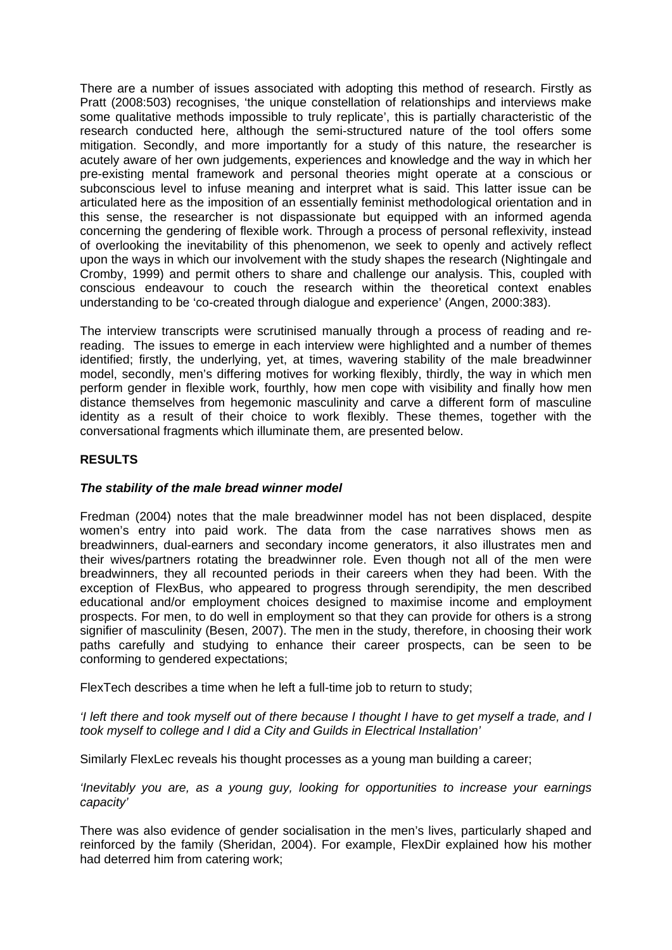There are a number of issues associated with adopting this method of research. Firstly as Pratt (2008:503) recognises, 'the unique constellation of relationships and interviews make some qualitative methods impossible to truly replicate', this is partially characteristic of the research conducted here, although the semi-structured nature of the tool offers some mitigation. Secondly, and more importantly for a study of this nature, the researcher is acutely aware of her own judgements, experiences and knowledge and the way in which her pre-existing mental framework and personal theories might operate at a conscious or subconscious level to infuse meaning and interpret what is said. This latter issue can be articulated here as the imposition of an essentially feminist methodological orientation and in this sense, the researcher is not dispassionate but equipped with an informed agenda concerning the gendering of flexible work. Through a process of personal reflexivity, instead of overlooking the inevitability of this phenomenon, we seek to openly and actively reflect upon the ways in which our involvement with the study shapes the research (Nightingale and Cromby, 1999) and permit others to share and challenge our analysis. This, coupled with conscious endeavour to couch the research within the theoretical context enables understanding to be 'co-created through dialogue and experience' (Angen, 2000:383).

The interview transcripts were scrutinised manually through a process of reading and rereading. The issues to emerge in each interview were highlighted and a number of themes identified; firstly, the underlying, yet, at times, wavering stability of the male breadwinner model, secondly, men's differing motives for working flexibly, thirdly, the way in which men perform gender in flexible work, fourthly, how men cope with visibility and finally how men distance themselves from hegemonic masculinity and carve a different form of masculine identity as a result of their choice to work flexibly. These themes, together with the conversational fragments which illuminate them, are presented below.

## **RESULTS**

## *The stability of the male bread winner model*

Fredman (2004) notes that the male breadwinner model has not been displaced, despite women's entry into paid work. The data from the case narratives shows men as breadwinners, dual-earners and secondary income generators, it also illustrates men and their wives/partners rotating the breadwinner role. Even though not all of the men were breadwinners, they all recounted periods in their careers when they had been. With the exception of FlexBus, who appeared to progress through serendipity, the men described educational and/or employment choices designed to maximise income and employment prospects. For men, to do well in employment so that they can provide for others is a strong signifier of masculinity (Besen, 2007). The men in the study, therefore, in choosing their work paths carefully and studying to enhance their career prospects, can be seen to be conforming to gendered expectations;

FlexTech describes a time when he left a full-time job to return to study;

*'I left there and took myself out of there because I thought I have to get myself a trade, and I took myself to college and I did a City and Guilds in Electrical Installation'* 

Similarly FlexLec reveals his thought processes as a young man building a career;

*'Inevitably you are, as a young guy, looking for opportunities to increase your earnings capacity'* 

There was also evidence of gender socialisation in the men's lives, particularly shaped and reinforced by the family (Sheridan, 2004). For example, FlexDir explained how his mother had deterred him from catering work;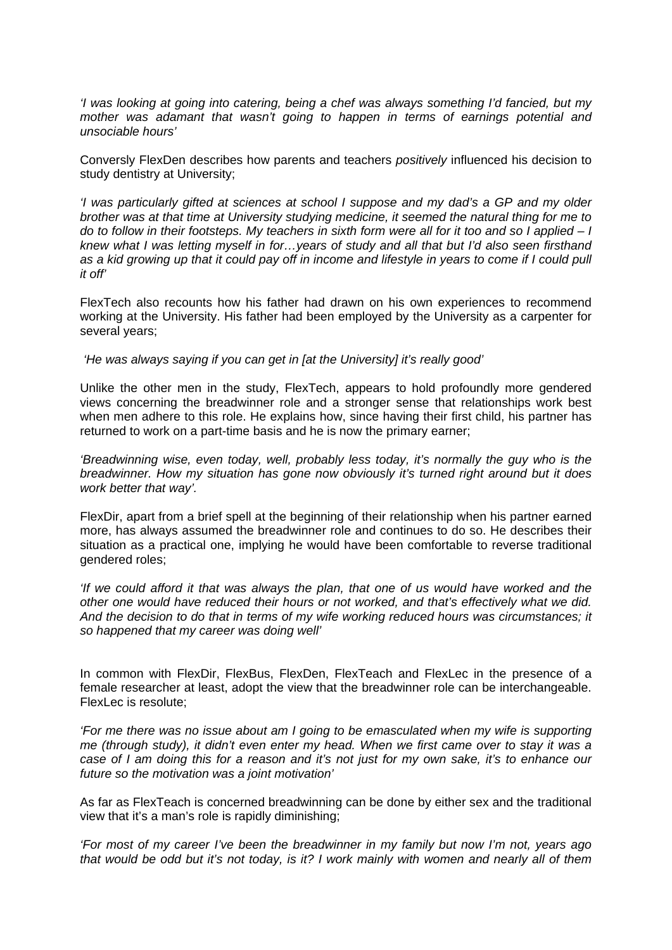*'I was looking at going into catering, being a chef was always something I'd fancied, but my mother was adamant that wasn't going to happen in terms of earnings potential and unsociable hours'* 

Conversly FlexDen describes how parents and teachers *positively* influenced his decision to study dentistry at University;

*'I was particularly gifted at sciences at school I suppose and my dad's a GP and my older brother was at that time at University studying medicine, it seemed the natural thing for me to do to follow in their footsteps. My teachers in sixth form were all for it too and so I applied – I knew what I was letting myself in for…years of study and all that but I'd also seen firsthand*  as a kid growing up that it could pay off in income and lifestyle in years to come if I could pull *it off'* 

FlexTech also recounts how his father had drawn on his own experiences to recommend working at the University. His father had been employed by the University as a carpenter for several years;

 *'He was always saying if you can get in [at the University] it's really good'* 

Unlike the other men in the study, FlexTech, appears to hold profoundly more gendered views concerning the breadwinner role and a stronger sense that relationships work best when men adhere to this role. He explains how, since having their first child, his partner has returned to work on a part-time basis and he is now the primary earner;

*'Breadwinning wise, even today, well, probably less today, it's normally the guy who is the breadwinner. How my situation has gone now obviously it's turned right around but it does work better that way'.* 

FlexDir, apart from a brief spell at the beginning of their relationship when his partner earned more, has always assumed the breadwinner role and continues to do so. He describes their situation as a practical one, implying he would have been comfortable to reverse traditional gendered roles;

*'If we could afford it that was always the plan, that one of us would have worked and the other one would have reduced their hours or not worked, and that's effectively what we did. And the decision to do that in terms of my wife working reduced hours was circumstances; it so happened that my career was doing well'* 

In common with FlexDir, FlexBus, FlexDen, FlexTeach and FlexLec in the presence of a female researcher at least, adopt the view that the breadwinner role can be interchangeable. FlexLec is resolute;

*'For me there was no issue about am I going to be emasculated when my wife is supporting me (through study), it didn't even enter my head. When we first came over to stay it was a case of I am doing this for a reason and it's not just for my own sake, it's to enhance our future so the motivation was a joint motivation'* 

As far as FlexTeach is concerned breadwinning can be done by either sex and the traditional view that it's a man's role is rapidly diminishing;

*'For most of my career I've been the breadwinner in my family but now I'm not, years ago that would be odd but it's not today, is it? I work mainly with women and nearly all of them*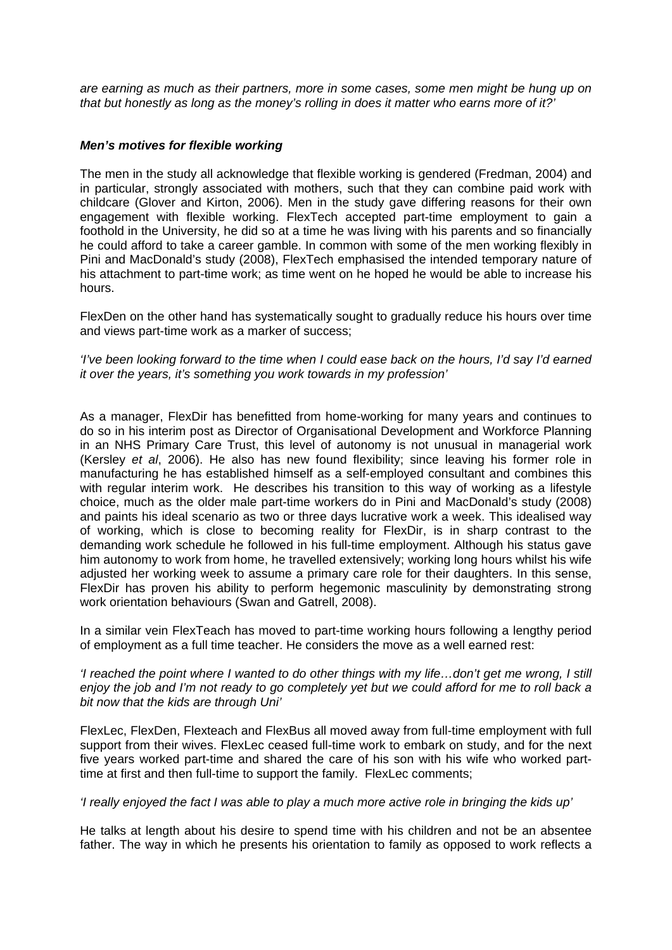*are earning as much as their partners, more in some cases, some men might be hung up on that but honestly as long as the money's rolling in does it matter who earns more of it?'* 

#### *Men's motives for flexible working*

The men in the study all acknowledge that flexible working is gendered (Fredman, 2004) and in particular, strongly associated with mothers, such that they can combine paid work with childcare (Glover and Kirton, 2006). Men in the study gave differing reasons for their own engagement with flexible working. FlexTech accepted part-time employment to gain a foothold in the University, he did so at a time he was living with his parents and so financially he could afford to take a career gamble. In common with some of the men working flexibly in Pini and MacDonald's study (2008), FlexTech emphasised the intended temporary nature of his attachment to part-time work; as time went on he hoped he would be able to increase his hours.

FlexDen on the other hand has systematically sought to gradually reduce his hours over time and views part-time work as a marker of success;

*'I've been looking forward to the time when I could ease back on the hours, I'd say I'd earned it over the years, it's something you work towards in my profession'* 

As a manager, FlexDir has benefitted from home-working for many years and continues to do so in his interim post as Director of Organisational Development and Workforce Planning in an NHS Primary Care Trust, this level of autonomy is not unusual in managerial work (Kersley *et al*, 2006). He also has new found flexibility; since leaving his former role in manufacturing he has established himself as a self-employed consultant and combines this with regular interim work. He describes his transition to this way of working as a lifestyle choice, much as the older male part-time workers do in Pini and MacDonald's study (2008) and paints his ideal scenario as two or three days lucrative work a week. This idealised way of working, which is close to becoming reality for FlexDir, is in sharp contrast to the demanding work schedule he followed in his full-time employment. Although his status gave him autonomy to work from home, he travelled extensively; working long hours whilst his wife adjusted her working week to assume a primary care role for their daughters. In this sense, FlexDir has proven his ability to perform hegemonic masculinity by demonstrating strong work orientation behaviours (Swan and Gatrell, 2008).

In a similar vein FlexTeach has moved to part-time working hours following a lengthy period of employment as a full time teacher. He considers the move as a well earned rest:

#### *'I reached the point where I wanted to do other things with my life…don't get me wrong, I still enjoy the job and I'm not ready to go completely yet but we could afford for me to roll back a bit now that the kids are through Uni'*

FlexLec, FlexDen, Flexteach and FlexBus all moved away from full-time employment with full support from their wives. FlexLec ceased full-time work to embark on study, and for the next five years worked part-time and shared the care of his son with his wife who worked parttime at first and then full-time to support the family. FlexLec comments;

#### *'I really enjoyed the fact I was able to play a much more active role in bringing the kids up'*

He talks at length about his desire to spend time with his children and not be an absentee father. The way in which he presents his orientation to family as opposed to work reflects a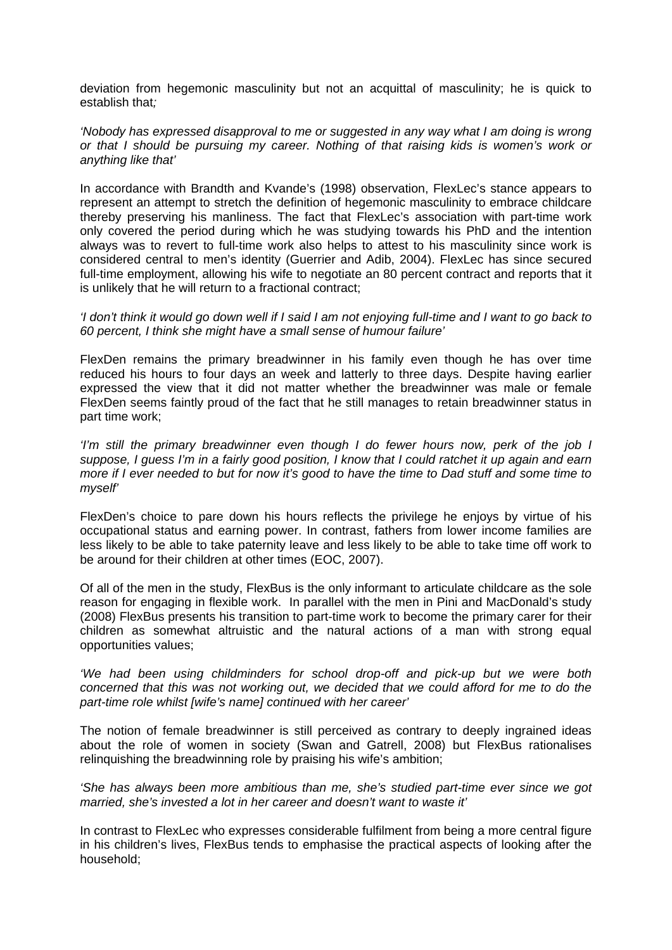deviation from hegemonic masculinity but not an acquittal of masculinity; he is quick to establish that*;* 

*'Nobody has expressed disapproval to me or suggested in any way what I am doing is wrong or that I should be pursuing my career. Nothing of that raising kids is women's work or anything like that'* 

In accordance with Brandth and Kvande's (1998) observation, FlexLec's stance appears to represent an attempt to stretch the definition of hegemonic masculinity to embrace childcare thereby preserving his manliness. The fact that FlexLec's association with part-time work only covered the period during which he was studying towards his PhD and the intention always was to revert to full-time work also helps to attest to his masculinity since work is considered central to men's identity (Guerrier and Adib, 2004). FlexLec has since secured full-time employment, allowing his wife to negotiate an 80 percent contract and reports that it is unlikely that he will return to a fractional contract;

*'I don't think it would go down well if I said I am not enjoying full-time and I want to go back to 60 percent, I think she might have a small sense of humour failure'* 

FlexDen remains the primary breadwinner in his family even though he has over time reduced his hours to four days an week and latterly to three days. Despite having earlier expressed the view that it did not matter whether the breadwinner was male or female FlexDen seems faintly proud of the fact that he still manages to retain breadwinner status in part time work;

*'I'm still the primary breadwinner even though I do fewer hours now, perk of the job I suppose, I guess I'm in a fairly good position, I know that I could ratchet it up again and earn more if I ever needed to but for now it's good to have the time to Dad stuff and some time to myself'* 

FlexDen's choice to pare down his hours reflects the privilege he enjoys by virtue of his occupational status and earning power. In contrast, fathers from lower income families are less likely to be able to take paternity leave and less likely to be able to take time off work to be around for their children at other times (EOC, 2007).

Of all of the men in the study, FlexBus is the only informant to articulate childcare as the sole reason for engaging in flexible work. In parallel with the men in Pini and MacDonald's study (2008) FlexBus presents his transition to part-time work to become the primary carer for their children as somewhat altruistic and the natural actions of a man with strong equal opportunities values;

*'We had been using childminders for school drop-off and pick-up but we were both concerned that this was not working out, we decided that we could afford for me to do the part-time role whilst [wife's name] continued with her career'* 

The notion of female breadwinner is still perceived as contrary to deeply ingrained ideas about the role of women in society (Swan and Gatrell, 2008) but FlexBus rationalises relinquishing the breadwinning role by praising his wife's ambition;

*'She has always been more ambitious than me, she's studied part-time ever since we got married, she's invested a lot in her career and doesn't want to waste it'* 

In contrast to FlexLec who expresses considerable fulfilment from being a more central figure in his children's lives, FlexBus tends to emphasise the practical aspects of looking after the household;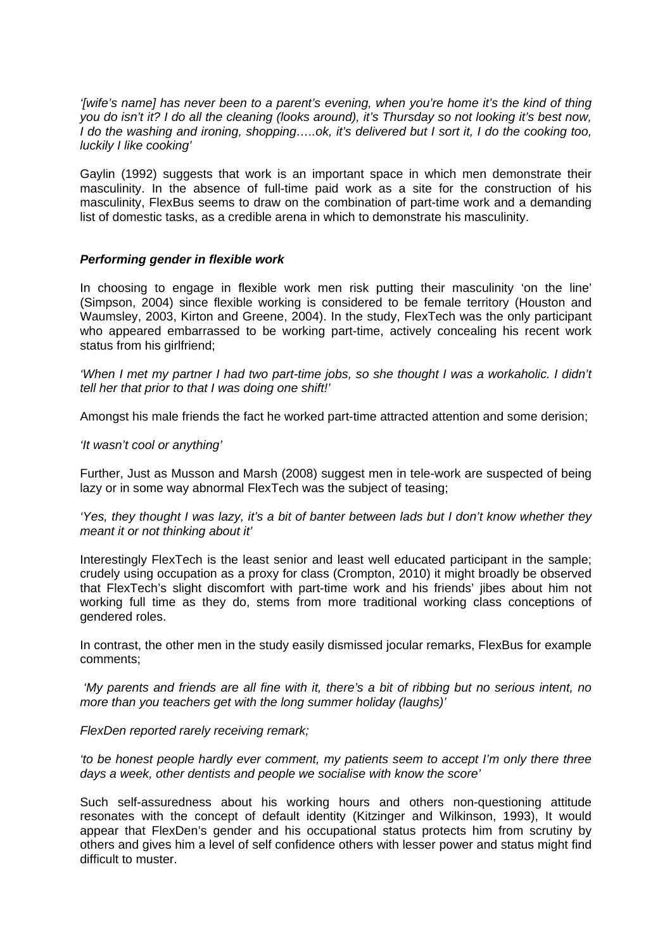*'[wife's name] has never been to a parent's evening, when you're home it's the kind of thing you do isn't it? I do all the cleaning (looks around), it's Thursday so not looking it's best now, I do the washing and ironing, shopping…..ok, it's delivered but I sort it, I do the cooking too, luckily I like cooking'* 

Gaylin (1992) suggests that work is an important space in which men demonstrate their masculinity. In the absence of full-time paid work as a site for the construction of his masculinity, FlexBus seems to draw on the combination of part-time work and a demanding list of domestic tasks, as a credible arena in which to demonstrate his masculinity.

#### *Performing gender in flexible work*

In choosing to engage in flexible work men risk putting their masculinity 'on the line' (Simpson, 2004) since flexible working is considered to be female territory (Houston and Waumsley, 2003, Kirton and Greene, 2004). In the study, FlexTech was the only participant who appeared embarrassed to be working part-time, actively concealing his recent work status from his girlfriend:

*'When I met my partner I had two part-time jobs, so she thought I was a workaholic. I didn't tell her that prior to that I was doing one shift!'* 

Amongst his male friends the fact he worked part-time attracted attention and some derision;

#### *'It wasn't cool or anything'*

Further, Just as Musson and Marsh (2008) suggest men in tele-work are suspected of being lazy or in some way abnormal FlexTech was the subject of teasing;

*'Yes, they thought I was lazy, it's a bit of banter between lads but I don't know whether they meant it or not thinking about it'* 

Interestingly FlexTech is the least senior and least well educated participant in the sample; crudely using occupation as a proxy for class (Crompton, 2010) it might broadly be observed that FlexTech's slight discomfort with part-time work and his friends' jibes about him not working full time as they do, stems from more traditional working class conceptions of gendered roles.

In contrast, the other men in the study easily dismissed jocular remarks, FlexBus for example comments;

*'My parents and friends are all fine with it, there's a bit of ribbing but no serious intent, no more than you teachers get with the long summer holiday (laughs)'* 

#### *FlexDen reported rarely receiving remark;*

*'to be honest people hardly ever comment, my patients seem to accept I'm only there three days a week, other dentists and people we socialise with know the score'* 

Such self-assuredness about his working hours and others non-questioning attitude resonates with the concept of default identity (Kitzinger and Wilkinson, 1993), It would appear that FlexDen's gender and his occupational status protects him from scrutiny by others and gives him a level of self confidence others with lesser power and status might find difficult to muster.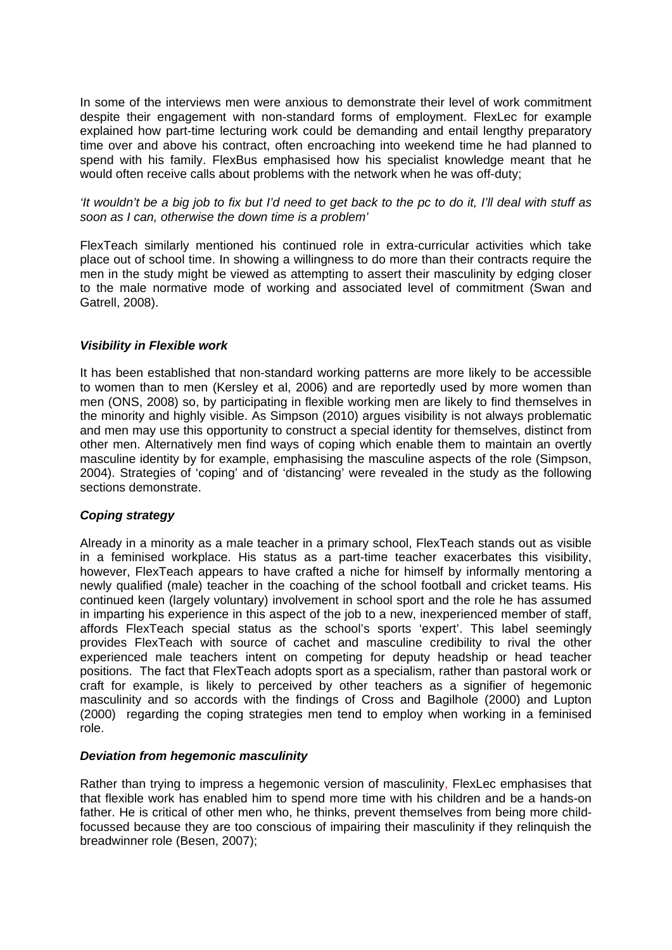In some of the interviews men were anxious to demonstrate their level of work commitment despite their engagement with non-standard forms of employment. FlexLec for example explained how part-time lecturing work could be demanding and entail lengthy preparatory time over and above his contract, often encroaching into weekend time he had planned to spend with his family. FlexBus emphasised how his specialist knowledge meant that he would often receive calls about problems with the network when he was off-duty;

*'It wouldn't be a big job to fix but I'd need to get back to the pc to do it, I'll deal with stuff as soon as I can, otherwise the down time is a problem'* 

FlexTeach similarly mentioned his continued role in extra-curricular activities which take place out of school time. In showing a willingness to do more than their contracts require the men in the study might be viewed as attempting to assert their masculinity by edging closer to the male normative mode of working and associated level of commitment (Swan and Gatrell, 2008).

#### *Visibility in Flexible work*

It has been established that non-standard working patterns are more likely to be accessible to women than to men (Kersley et al, 2006) and are reportedly used by more women than men (ONS, 2008) so, by participating in flexible working men are likely to find themselves in the minority and highly visible. As Simpson (2010) argues visibility is not always problematic and men may use this opportunity to construct a special identity for themselves, distinct from other men. Alternatively men find ways of coping which enable them to maintain an overtly masculine identity by for example, emphasising the masculine aspects of the role (Simpson, 2004). Strategies of 'coping' and of 'distancing' were revealed in the study as the following sections demonstrate.

## *Coping strategy*

Already in a minority as a male teacher in a primary school, FlexTeach stands out as visible in a feminised workplace. His status as a part-time teacher exacerbates this visibility, however, FlexTeach appears to have crafted a niche for himself by informally mentoring a newly qualified (male) teacher in the coaching of the school football and cricket teams. His continued keen (largely voluntary) involvement in school sport and the role he has assumed in imparting his experience in this aspect of the job to a new, inexperienced member of staff, affords FlexTeach special status as the school's sports 'expert'. This label seemingly provides FlexTeach with source of cachet and masculine credibility to rival the other experienced male teachers intent on competing for deputy headship or head teacher positions. The fact that FlexTeach adopts sport as a specialism, rather than pastoral work or craft for example, is likely to perceived by other teachers as a signifier of hegemonic masculinity and so accords with the findings of Cross and Bagilhole (2000) and Lupton (2000) regarding the coping strategies men tend to employ when working in a feminised role.

#### *Deviation from hegemonic masculinity*

Rather than trying to impress a hegemonic version of masculinity, FlexLec emphasises that that flexible work has enabled him to spend more time with his children and be a hands-on father. He is critical of other men who, he thinks, prevent themselves from being more childfocussed because they are too conscious of impairing their masculinity if they relinquish the breadwinner role (Besen, 2007);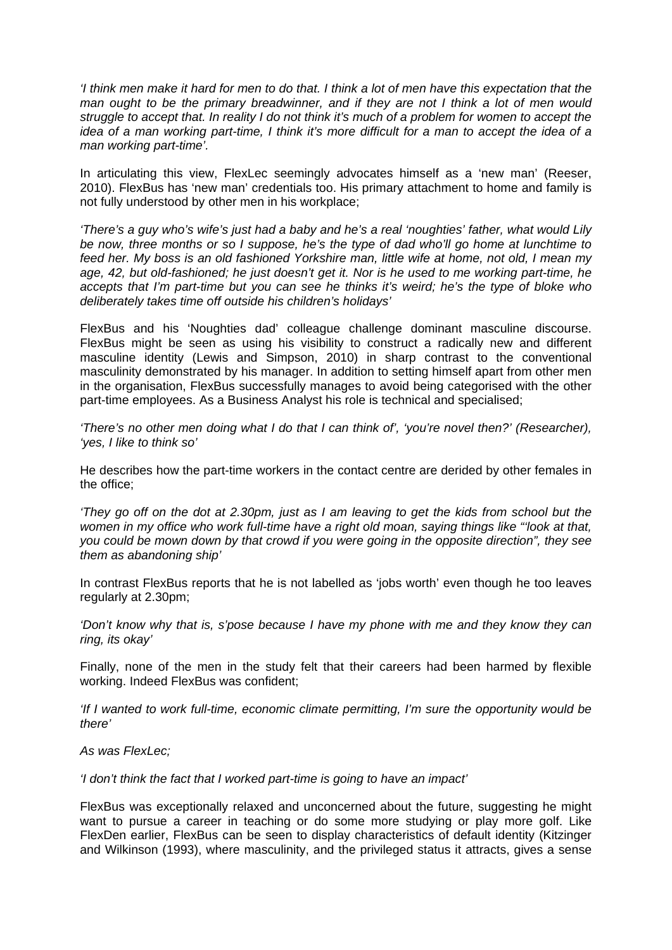*'I think men make it hard for men to do that. I think a lot of men have this expectation that the man ought to be the primary breadwinner, and if they are not I think a lot of men would struggle to accept that. In reality I do not think it's much of a problem for women to accept the idea of a man working part-time, I think it's more difficult for a man to accept the idea of a man working part-time'.* 

In articulating this view, FlexLec seemingly advocates himself as a 'new man' (Reeser, 2010). FlexBus has 'new man' credentials too. His primary attachment to home and family is not fully understood by other men in his workplace;

*'There's a guy who's wife's just had a baby and he's a real 'noughties' father, what would Lily be now, three months or so I suppose, he's the type of dad who'll go home at lunchtime to feed her. My boss is an old fashioned Yorkshire man, little wife at home, not old, I mean my age, 42, but old-fashioned; he just doesn't get it. Nor is he used to me working part-time, he accepts that I'm part-time but you can see he thinks it's weird; he's the type of bloke who deliberately takes time off outside his children's holidays'*

FlexBus and his 'Noughties dad' colleague challenge dominant masculine discourse. FlexBus might be seen as using his visibility to construct a radically new and different masculine identity (Lewis and Simpson, 2010) in sharp contrast to the conventional masculinity demonstrated by his manager. In addition to setting himself apart from other men in the organisation, FlexBus successfully manages to avoid being categorised with the other part-time employees. As a Business Analyst his role is technical and specialised;

*'There's no other men doing what I do that I can think of', 'you're novel then?' (Researcher), 'yes, I like to think so'* 

He describes how the part-time workers in the contact centre are derided by other females in the office;

*'They go off on the dot at 2.30pm, just as I am leaving to get the kids from school but the women in my office who work full-time have a right old moan, saying things like "'look at that, you could be mown down by that crowd if you were going in the opposite direction", they see them as abandoning ship'* 

In contrast FlexBus reports that he is not labelled as 'jobs worth' even though he too leaves regularly at 2.30pm;

*'Don't know why that is, s'pose because I have my phone with me and they know they can ring, its okay'* 

Finally, none of the men in the study felt that their careers had been harmed by flexible working. Indeed FlexBus was confident;

*'If I wanted to work full-time, economic climate permitting, I'm sure the opportunity would be there'* 

*As was FlexLec;* 

*'I don't think the fact that I worked part-time is going to have an impact'* 

FlexBus was exceptionally relaxed and unconcerned about the future, suggesting he might want to pursue a career in teaching or do some more studying or play more golf. Like FlexDen earlier, FlexBus can be seen to display characteristics of default identity (Kitzinger and Wilkinson (1993), where masculinity, and the privileged status it attracts, gives a sense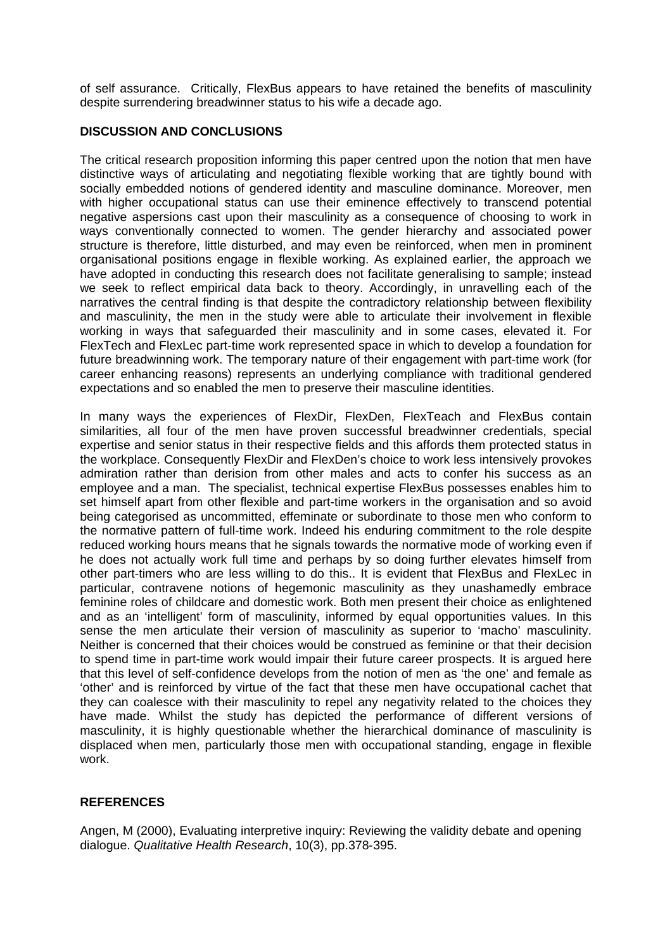of self assurance. Critically, FlexBus appears to have retained the benefits of masculinity despite surrendering breadwinner status to his wife a decade ago.

## **DISCUSSION AND CONCLUSIONS**

The critical research proposition informing this paper centred upon the notion that men have distinctive ways of articulating and negotiating flexible working that are tightly bound with socially embedded notions of gendered identity and masculine dominance. Moreover, men with higher occupational status can use their eminence effectively to transcend potential negative aspersions cast upon their masculinity as a consequence of choosing to work in ways conventionally connected to women. The gender hierarchy and associated power structure is therefore, little disturbed, and may even be reinforced, when men in prominent organisational positions engage in flexible working. As explained earlier, the approach we have adopted in conducting this research does not facilitate generalising to sample; instead we seek to reflect empirical data back to theory. Accordingly, in unravelling each of the narratives the central finding is that despite the contradictory relationship between flexibility and masculinity, the men in the study were able to articulate their involvement in flexible working in ways that safeguarded their masculinity and in some cases, elevated it. For FlexTech and FlexLec part-time work represented space in which to develop a foundation for future breadwinning work. The temporary nature of their engagement with part-time work (for career enhancing reasons) represents an underlying compliance with traditional gendered expectations and so enabled the men to preserve their masculine identities.

In many ways the experiences of FlexDir, FlexDen, FlexTeach and FlexBus contain similarities, all four of the men have proven successful breadwinner credentials, special expertise and senior status in their respective fields and this affords them protected status in the workplace. Consequently FlexDir and FlexDen's choice to work less intensively provokes admiration rather than derision from other males and acts to confer his success as an employee and a man. The specialist, technical expertise FlexBus possesses enables him to set himself apart from other flexible and part-time workers in the organisation and so avoid being categorised as uncommitted, effeminate or subordinate to those men who conform to the normative pattern of full-time work. Indeed his enduring commitment to the role despite reduced working hours means that he signals towards the normative mode of working even if he does not actually work full time and perhaps by so doing further elevates himself from other part-timers who are less willing to do this.. It is evident that FlexBus and FlexLec in particular, contravene notions of hegemonic masculinity as they unashamedly embrace feminine roles of childcare and domestic work. Both men present their choice as enlightened and as an 'intelligent' form of masculinity, informed by equal opportunities values. In this sense the men articulate their version of masculinity as superior to 'macho' masculinity. Neither is concerned that their choices would be construed as feminine or that their decision to spend time in part-time work would impair their future career prospects. It is argued here that this level of self-confidence develops from the notion of men as 'the one' and female as 'other' and is reinforced by virtue of the fact that these men have occupational cachet that they can coalesce with their masculinity to repel any negativity related to the choices they have made. Whilst the study has depicted the performance of different versions of masculinity, it is highly questionable whether the hierarchical dominance of masculinity is displaced when men, particularly those men with occupational standing, engage in flexible work.

## **REFERENCES**

Angen, M (2000), Evaluating interpretive inquiry: Reviewing the validity debate and opening dialogue. *Qualitative Health Research*, 10(3), pp.378‐395.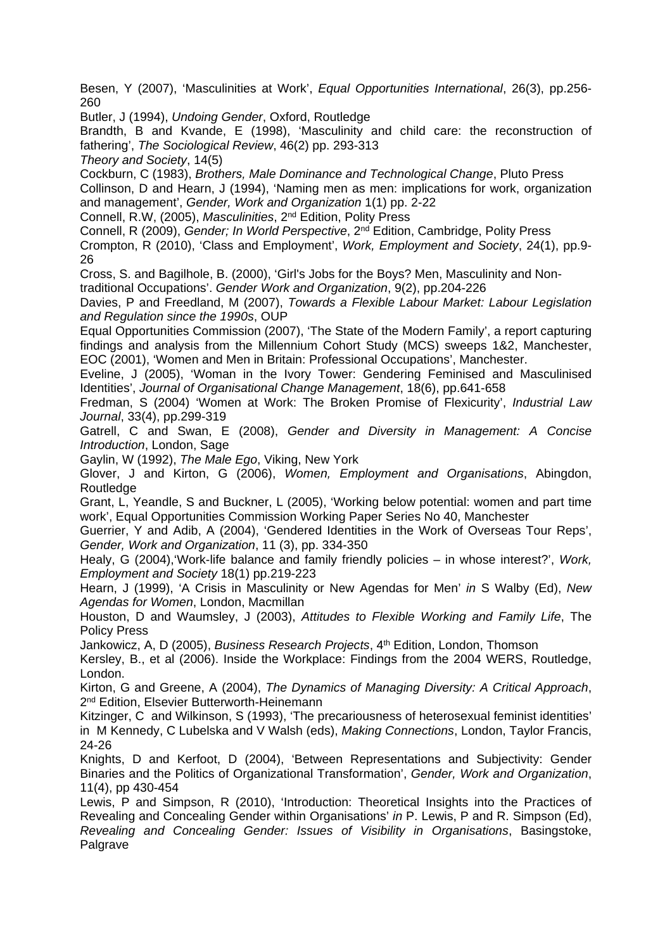Besen, Y (2007), 'Masculinities at Work', *Equal Opportunities International*, 26(3), pp.256- 260

Butler, J (1994), *Undoing Gender*, Oxford, Routledge

Brandth, B and Kvande, E (1998), 'Masculinity and child care: the reconstruction of fathering', *The Sociological Review*, 46(2) pp. 293-313

*Theory and Society*, 14(5)

Cockburn, C (1983), *Brothers, Male Dominance and Technological Change*, Pluto Press Collinson, D and Hearn, J (1994), 'Naming men as men: implications for work, organization and management', *Gender, Work and Organization* 1(1) pp. 2-22

Connell, R.W, (2005), *Masculinities*, 2nd Edition, Polity Press

Connell, R (2009), *Gender; In World Perspective*, 2nd Edition, Cambridge, Polity Press Crompton, R (2010), 'Class and Employment', *Work, Employment and Society*, 24(1), pp.9- 26

Cross, S. and Bagilhole, B. (2000), 'Girl's Jobs for the Boys? Men, Masculinity and Nontraditional Occupations'. *Gender Work and Organization*, 9(2), pp.204-226

Davies, P and Freedland, M (2007), *Towards a Flexible Labour Market: Labour Legislation and Regulation since the 1990s*, OUP

Equal Opportunities Commission (2007), 'The State of the Modern Family', a report capturing findings and analysis from the Millennium Cohort Study (MCS) sweeps 1&2, Manchester, EOC (2001), 'Women and Men in Britain: Professional Occupations', Manchester.

Eveline, J (2005), 'Woman in the Ivory Tower: Gendering Feminised and Masculinised Identities', *Journal of Organisational Change Management*, 18(6), pp.641-658

Fredman, S (2004) 'Women at Work: The Broken Promise of Flexicurity', *Industrial Law Journal*, 33(4), pp.299-319

Gatrell, C and Swan, E (2008), *Gender and Diversity in Management: A Concise Introduction*, London, Sage

Gaylin, W (1992), *The Male Ego*, Viking, New York

Glover, J and Kirton, G (2006), *Women, Employment and Organisations*, Abingdon, **Routledge** 

Grant, L, Yeandle, S and Buckner, L (2005), 'Working below potential: women and part time work', Equal Opportunities Commission Working Paper Series No 40, Manchester

Guerrier, Y and Adib, A (2004), 'Gendered Identities in the Work of Overseas Tour Reps', *Gender, Work and Organization*, 11 (3), pp. 334-350

Healy, G (2004),'Work-life balance and family friendly policies – in whose interest?', *Work, Employment and Society* 18(1) pp.219-223

Hearn, J (1999), 'A Crisis in Masculinity or New Agendas for Men' *in* S Walby (Ed), *New Agendas for Women*, London, Macmillan

Houston, D and Waumsley, J (2003), *Attitudes to Flexible Working and Family Life*, The Policy Press

Jankowicz, A, D (2005), *Business Research Projects*, 4th Edition, London, Thomson

Kersley, B., et al (2006). Inside the Workplace: Findings from the 2004 WERS, Routledge, London.

Kirton, G and Greene, A (2004), *The Dynamics of Managing Diversity: A Critical Approach*, 2<sup>nd</sup> Edition, Elsevier Butterworth-Heinemann

Kitzinger, C and Wilkinson, S (1993), 'The precariousness of heterosexual feminist identities' in M Kennedy, C Lubelska and V Walsh (eds), *Making Connections*, London, Taylor Francis, 24-26

Knights, D and Kerfoot, D (2004), 'Between Representations and Subjectivity: Gender Binaries and the Politics of Organizational Transformation', *Gender, Work and Organization*, 11(4), pp 430-454

Lewis, P and Simpson, R (2010), 'Introduction: Theoretical Insights into the Practices of Revealing and Concealing Gender within Organisations' *in* P. Lewis, P and R. Simpson (Ed), *Revealing and Concealing Gender: Issues of Visibility in Organisations*, Basingstoke, Palgrave